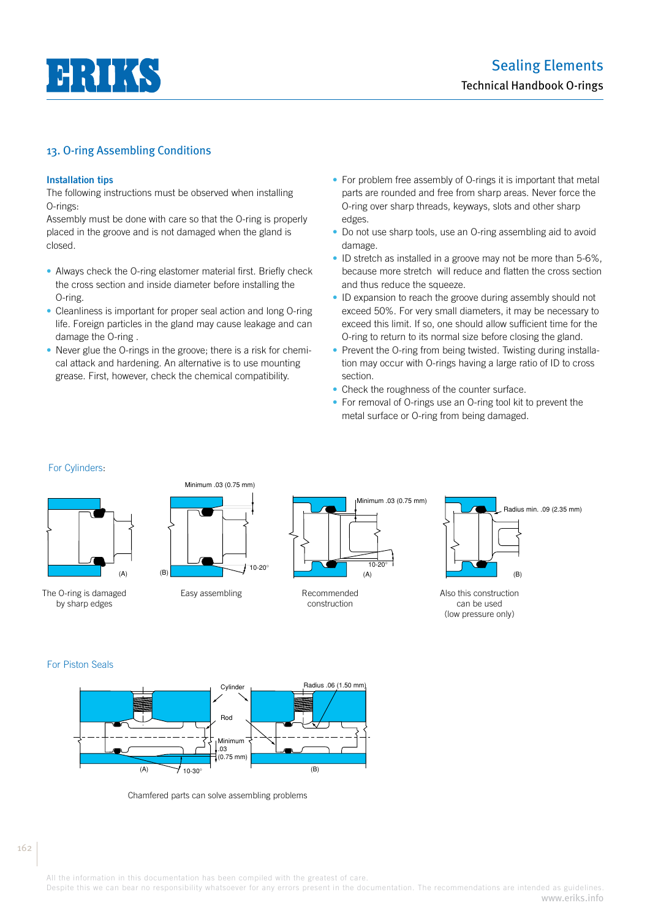

### **Installation tips**

The following instructions must be observed when installing O-rings:

Assembly must be done with care so that the O-ring is properly placed in the groove and is not damaged when the gland is closed.

- Always check the O-ring elastomer material first. Briefly check the cross section and inside diameter before installing the O-ring.
- Cleanliness is important for proper seal action and long O-ring life. Foreign particles in the gland may cause leakage and can damage the O-ring .
- Never glue the O-rings in the groove; there is a risk for chemical attack and hardening. An alternative is to use mounting grease. First, however, check the chemical compatibility.
- For problem free assembly of O-rings it is important that metal parts are rounded and free from sharp areas. Never force the O-ring over sharp threads, keyways, slots and other sharp edges.
- Do not use sharp tools, use an O-ring assembling aid to avoid damage.
- ID stretch as installed in a groove may not be more than 5-6%, because more stretch will reduce and flatten the cross section and thus reduce the squeeze.
- ID expansion to reach the groove during assembly should not exceed 50%. For very small diameters, it may be necessary to exceed this limit. If so, one should allow sufficient time for the O-ring to return to its normal size before closing the gland.
- Prevent the O-ring from being twisted. Twisting during installation may occur with O-rings having a large ratio of ID to cross section.
- Check the roughness of the counter surface.
- For removal of O-rings use an O-ring tool kit to prevent the metal surface or O-ring from being damaged.

#### For Cylinders:



The O-ring is damaged by sharp edges



Minimum .03 (0.75 mm)

Easy assembling Recommended



construction



Also this construction can be used (low pressure only)

### For Piston Seals



Chamfered parts can solve assembling problems

All the information in this documentation has been compiled with the greatest of care.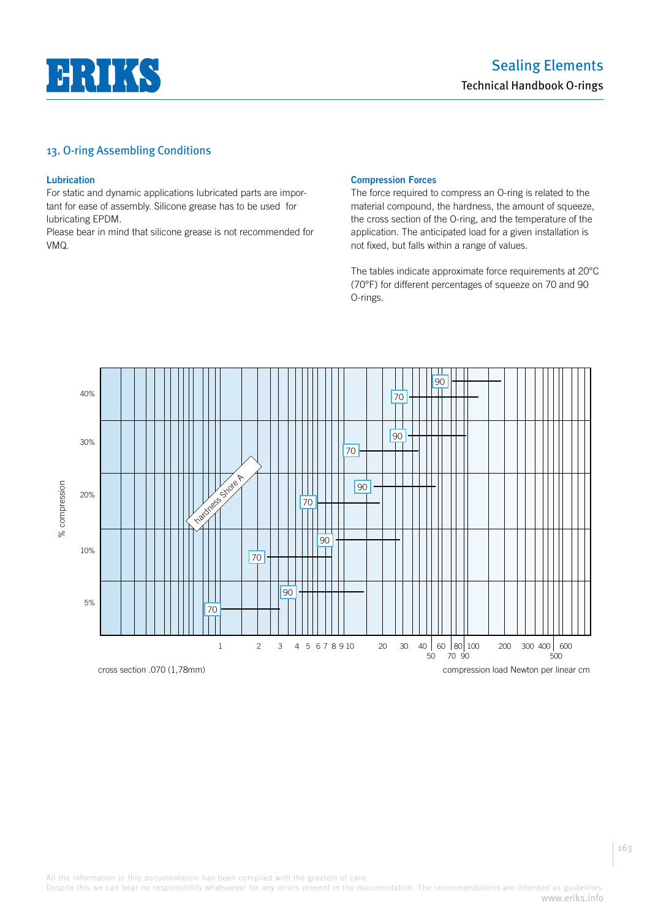

### **Lubrication**

For static and dynamic applications lubricated parts are important for ease of assembly. Silicone grease has to be used for lubricating EPDM.

Please bear in mind that silicone grease is not recommended for VMQ.

#### **Compression Forces**

The force required to compress an O-ring is related to the material compound, the hardness, the amount of squeeze, the cross section of the O-ring, and the temperature of the application. The anticipated load for a given installation is not fixed, but falls within a range of values.

The tables indicate approximate force requirements at 20°C (70°F) for different percentages of squeeze on 70 and 90 O-rings.



Despite this we can bear no responsibility whatsoever for any errors present in the documentation. The recommendations are intended as guidelines. www.eriks.info

163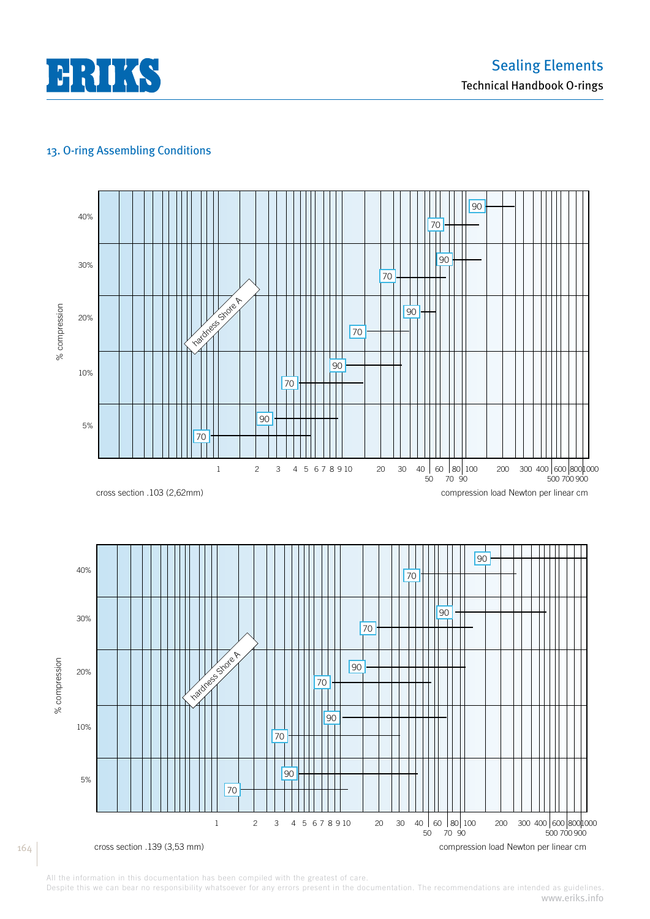



All the information in this documentation has been compiled with the greatest of care.

164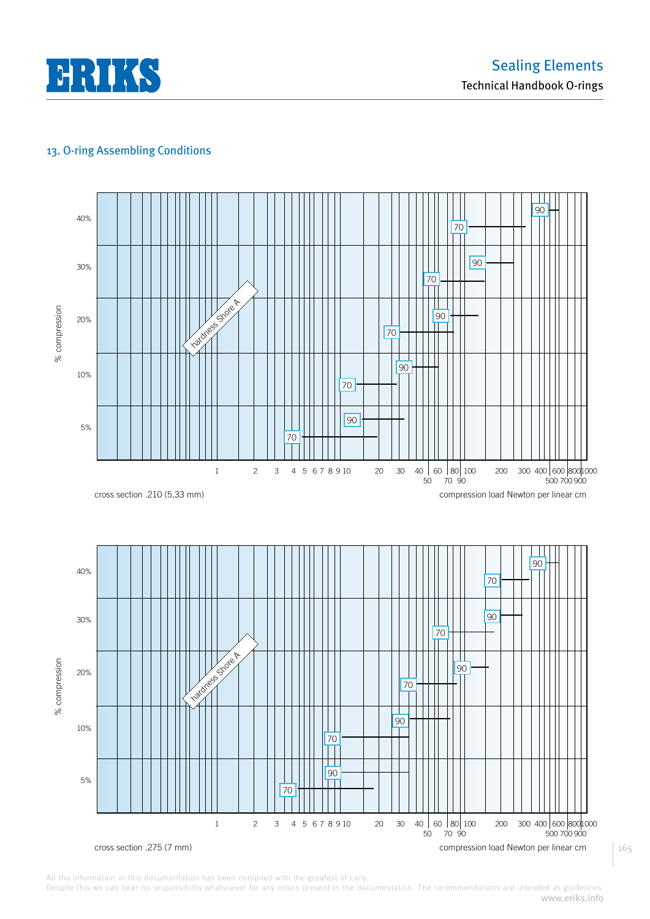



All the information in this documentation has been compiled with the greatest of care.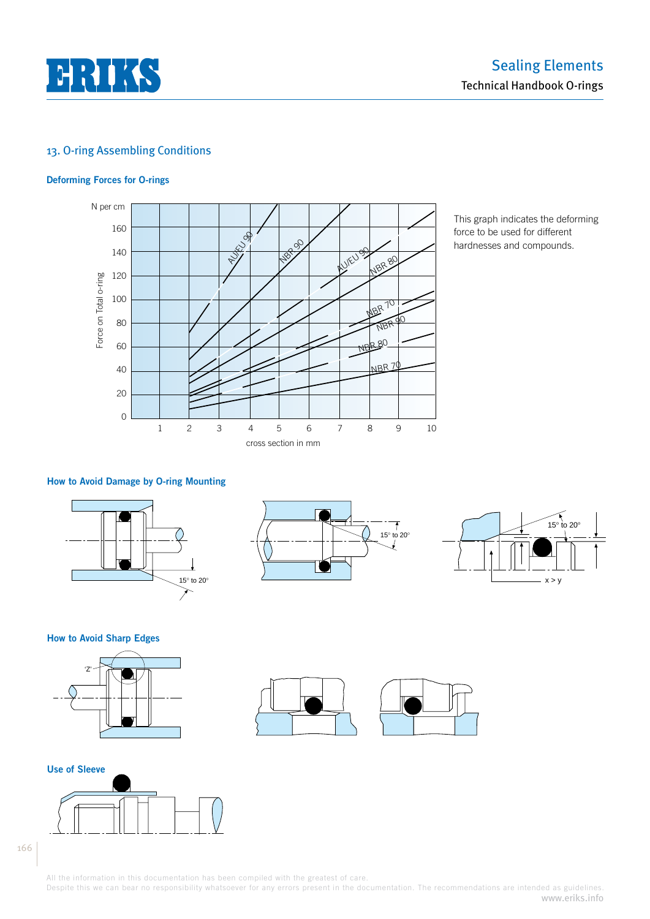

### **Deforming Forces for O-rings**



This graph indicates the deforming force to be used for different hardnesses and compounds.

### **How to Avoid Damage by O-ring Mounting**



 $\overline{t}$ 15° to 20°



**How to Avoid Sharp Edges**





166

All the information in this documentation has been compiled with the greatest of care.

Despite this we can bear no responsibility whatsoever for any errors present in the documentation. The recommendations are intended as guidelines. www.eriks.info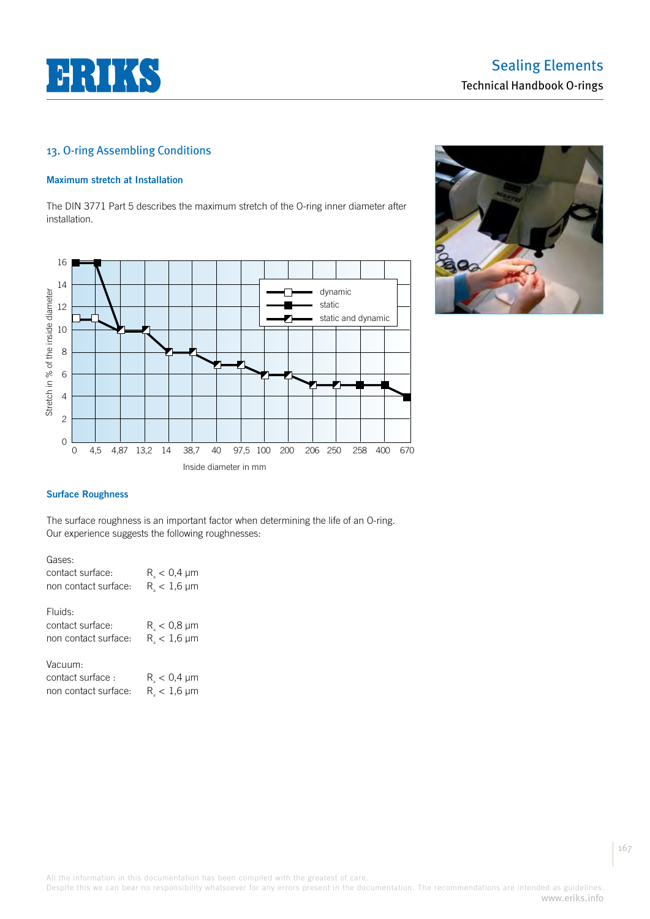

#### **Maximum stretch at Installation**

The DIN 3771 Part 5 describes the maximum stretch of the O-ring inner diameter after installation.





### **Surface Roughness**

The surface roughness is an important factor when determining the life of an O-ring. Our experience suggests the following roughnesses:

| Gases:<br>contact surface:<br>non contact surface:  | $R_{a}$ < 0,4 $\mu$ m<br>$R_{\rm s}$ < 1,6 $\mu$ m |
|-----------------------------------------------------|----------------------------------------------------|
| Fluids:<br>contact surface:<br>non contact surface: | $R_{a}$ < 0,8 µm<br>$R_{\rm s}$ < 1,6 $\mu$ m      |
| Vacuum:<br>contact surface:<br>non contact surface: | $R_{s}$ < 0,4 $\mu$ m<br>$R_{\rm s}$ < 1,6 $\mu$ m |

All the information in this documentation has been compiled with the greatest of care.

Despite this we can bear no responsibility whatsoever for any errors present in the documentation. The recommendations are intended as guidelines. www.eriks.info